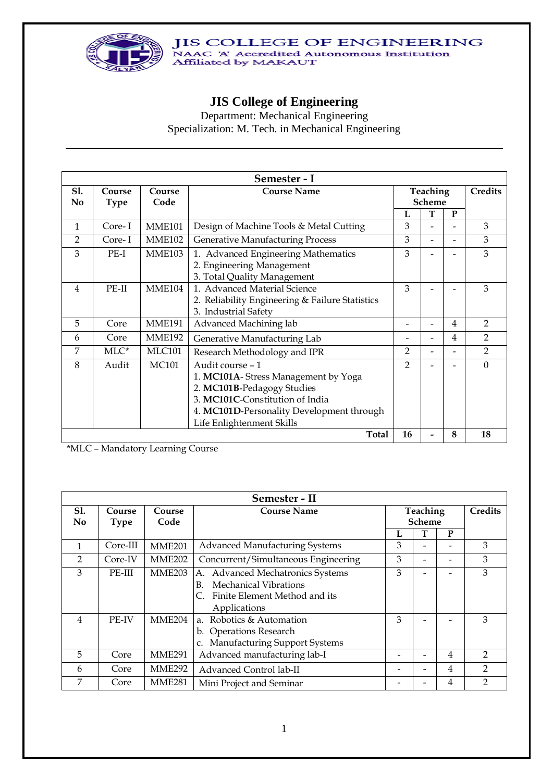

# **JIS College of Engineering**

Department: Mechanical Engineering Specialization: M. Tech. in Mechanical Engineering

|                              |                        |                | Semester - I                                                            |                           |                          |                |                |  |  |
|------------------------------|------------------------|----------------|-------------------------------------------------------------------------|---------------------------|--------------------------|----------------|----------------|--|--|
| <b>S1.</b><br>N <sub>0</sub> | Course<br><b>Type</b>  | Course<br>Code | <b>Course Name</b>                                                      | Teaching<br><b>Scheme</b> |                          |                | <b>Credits</b> |  |  |
|                              |                        |                |                                                                         | L                         | T                        | ${\bf P}$      |                |  |  |
| 1                            | Core-I                 | <b>MME101</b>  | Design of Machine Tools & Metal Cutting                                 | 3                         | $\overline{\phantom{0}}$ |                | 3              |  |  |
| $\overline{2}$               | Core-I                 | <b>MME102</b>  | <b>Generative Manufacturing Process</b>                                 | 3                         | $\overline{a}$           |                | 3              |  |  |
| 3                            | PE-I                   | <b>MME103</b>  | 1. Advanced Engineering Mathematics<br>2. Engineering Management        | 3                         |                          |                | 3              |  |  |
|                              |                        |                | 3. Total Quality Management                                             |                           |                          |                |                |  |  |
| 4                            | $PE-II$                | MME104         | 1. Advanced Material Science                                            | 3                         |                          |                | 3              |  |  |
|                              |                        |                | 2. Reliability Engineering & Failure Statistics<br>3. Industrial Safety |                           |                          |                |                |  |  |
| 5                            | Core                   | <b>MME191</b>  | Advanced Machining lab                                                  |                           |                          | 4              | $\overline{2}$ |  |  |
| 6                            | Core                   | <b>MME192</b>  | Generative Manufacturing Lab                                            |                           | $\overline{a}$           | $\overline{4}$ | $\overline{2}$ |  |  |
| 7                            | $MLC^*$                | <b>MLC101</b>  | Research Methodology and IPR                                            | $\overline{2}$            | $\overline{a}$           |                | $\overline{2}$ |  |  |
| 8                            | Audit                  | <b>MC101</b>   | Audit course - 1                                                        | $\overline{2}$            |                          |                | $\Omega$       |  |  |
|                              |                        |                | 1. MC101A-Stress Management by Yoga                                     |                           |                          |                |                |  |  |
|                              |                        |                | 2. MC101B-Pedagogy Studies                                              |                           |                          |                |                |  |  |
|                              |                        |                | 3. MC101C-Constitution of India                                         |                           |                          |                |                |  |  |
|                              |                        |                | 4. MC101D-Personality Development through                               |                           |                          |                |                |  |  |
|                              |                        |                | Life Enlightenment Skills                                               |                           |                          |                |                |  |  |
|                              | Total<br>8<br>18<br>16 |                |                                                                         |                           |                          |                |                |  |  |

\*MLC – Mandatory Learning Course

|                   | Semester - II         |                    |                                                                                                                           |                           |  |                |                |  |
|-------------------|-----------------------|--------------------|---------------------------------------------------------------------------------------------------------------------------|---------------------------|--|----------------|----------------|--|
| <b>S1.</b><br>No. | Course<br><b>Type</b> | Course<br>Code     | <b>Course Name</b>                                                                                                        | Teaching<br><b>Scheme</b> |  |                | <b>Credits</b> |  |
|                   |                       |                    |                                                                                                                           | L                         |  | P              |                |  |
| $\mathbf{1}$      | Core-III              | <b>MME201</b>      | <b>Advanced Manufacturing Systems</b>                                                                                     | 3                         |  |                | 3              |  |
| $\overline{2}$    | Core-IV               | <b>MME202</b>      | Concurrent/Simultaneous Engineering                                                                                       | 3                         |  |                | 3              |  |
| 3                 | PE-III                | MME <sub>203</sub> | A. Advanced Mechatronics Systems<br>Mechanical Vibrations<br>$B_{\cdot}$<br>Finite Element Method and its<br>Applications | 3                         |  |                | 3              |  |
| 4                 | PE-IV                 | <b>MME204</b>      | a. Robotics & Automation<br>b. Operations Research<br><b>Manufacturing Support Systems</b>                                | 3                         |  |                | 3              |  |
| 5                 | Core                  | <b>MME291</b>      | Advanced manufacturing lab-I                                                                                              |                           |  | 4              | $\mathfrak{D}$ |  |
| 6                 | Core                  | MME <sub>292</sub> | Advanced Control lab-II                                                                                                   |                           |  | $\overline{4}$ | $\mathcal{P}$  |  |
| 7                 | Core                  | <b>MME281</b>      | Mini Project and Seminar                                                                                                  |                           |  | 4              | າ              |  |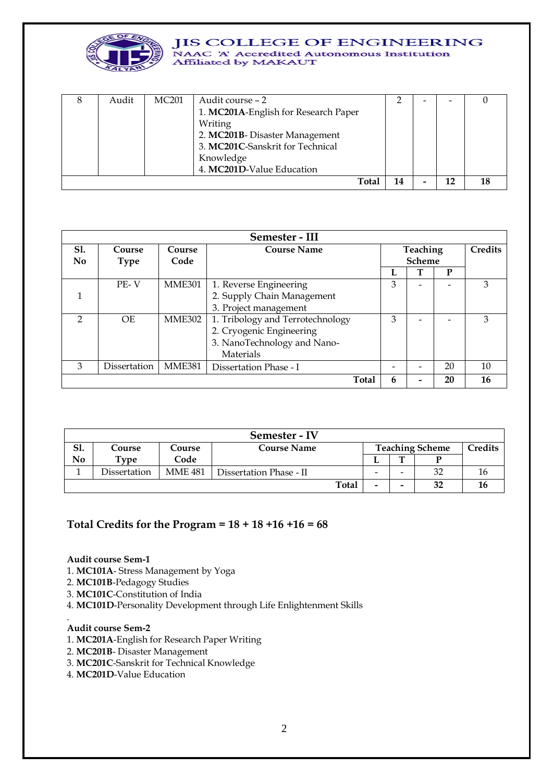

#### **JIS COLLEGE OF ENGINEERING** NAAC 'A' Accredited Autonomous Institution

Affiliated by MAKAUT

| Audit | <b>MC201</b> | Audit course – 2                     |    |  |  |
|-------|--------------|--------------------------------------|----|--|--|
|       |              | 1. MC201A-English for Research Paper |    |  |  |
|       |              | Writing                              |    |  |  |
|       |              | 2. MC201B-Disaster Management        |    |  |  |
|       |              | 3. MC201C-Sanskrit for Technical     |    |  |  |
|       |              | Knowledge                            |    |  |  |
|       |              | 4. MC201D-Value Education            |    |  |  |
|       |              | Total                                | 14 |  |  |

|                | Semester - III |               |                                  |          |               |    |                |
|----------------|----------------|---------------|----------------------------------|----------|---------------|----|----------------|
| <b>S1.</b>     | Course         | Course        | <b>Course Name</b>               | Teaching |               |    | <b>Credits</b> |
| N <sub>0</sub> | <b>Type</b>    | Code          |                                  |          | <b>Scheme</b> |    |                |
|                |                |               |                                  |          |               | P  |                |
|                | $PE-V$         | <b>MME301</b> | 1. Reverse Engineering           | 3        |               |    | 3              |
|                |                |               | 2. Supply Chain Management       |          |               |    |                |
|                |                |               | 3. Project management            |          |               |    |                |
| C              | OE.            | MME302        | 1. Tribology and Terrotechnology | 3        |               |    | 3              |
|                |                |               | 2. Cryogenic Engineering         |          |               |    |                |
|                |                |               | 3. NanoTechnology and Nano-      |          |               |    |                |
|                |                |               | Materials                        |          |               |    |                |
| 3              | Dissertation   | <b>MME381</b> | Dissertation Phase - I           |          |               | 20 | 10             |
|                |                |               | <b>Total</b>                     | 6        |               | 20 | 16             |

|     | Semester - IV                          |                |                         |  |   |                          |    |  |  |
|-----|----------------------------------------|----------------|-------------------------|--|---|--------------------------|----|--|--|
| S1. | <b>Course Name</b><br>Course<br>Course |                |                         |  |   | <b>Teaching Scheme</b>   |    |  |  |
| No  | Type                                   | Code           |                         |  |   | m                        |    |  |  |
|     | Dissertation                           | <b>MME 481</b> | Dissertation Phase - II |  | - | -                        | 32 |  |  |
|     |                                        |                | <b>Total</b>            |  | - | $\overline{\phantom{0}}$ | 32 |  |  |

# **Total Credits for the Program = 18 + 18 +16 +16 = 68**

#### **Audit course Sem-1**

- 1. **MC101A** Stress Management by Yoga
- 2. **MC101B**-Pedagogy Studies
- 3. **MC101C**-Constitution of India
- 4. **MC101D**-Personality Development through Life Enlightenment Skills

#### **Audit course Sem-2**

.

- 1. **MC201A**-English for Research Paper Writing
- 2. **MC201B** Disaster Management
- 3. **MC201C**-Sanskrit for Technical Knowledge
- 4. **MC201D**-Value Education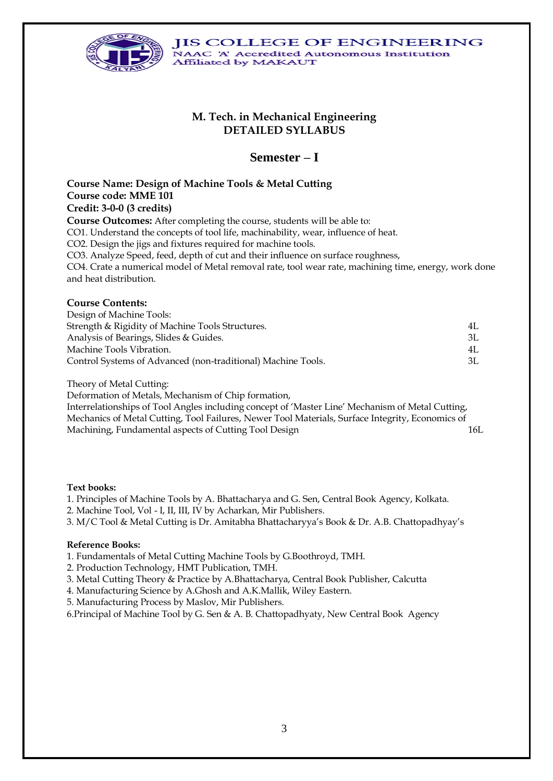

# **M. Tech. in Mechanical Engineering DETAILED SYLLABUS**

# **Semester – I**

**Course Name: Design of Machine Tools & Metal Cutting Course code: MME 101 Credit: 3-0-0 (3 credits) Course Outcomes:** After completing the course, students will be able to: CO1. Understand the concepts of tool life, machinability, wear, influence of heat. CO2. Design the jigs and fixtures required for machine tools. CO3. Analyze Speed, feed, depth of cut and their influence on surface roughness, CO4. Crate a numerical model of Metal removal rate, tool wear rate, machining time, energy, work done and heat distribution.

#### **Course Contents:**

| Design of Machine Tools:                                     |     |
|--------------------------------------------------------------|-----|
| Strength & Rigidity of Machine Tools Structures.             | 4L  |
| Analysis of Bearings, Slides & Guides.                       | ЗΙ. |
| Machine Tools Vibration.                                     | 4L  |
| Control Systems of Advanced (non-traditional) Machine Tools. | 3L  |

Theory of Metal Cutting:

Deformation of Metals, Mechanism of Chip formation,

Interrelationships of Tool Angles including concept of 'Master Line' Mechanism of Metal Cutting, Mechanics of Metal Cutting, Tool Failures, Newer Tool Materials, Surface Integrity, Economics of Machining, Fundamental aspects of Cutting Tool Design 16L

#### **Text books:**

1. Principles of Machine Tools by A. Bhattacharya and G. Sen, Central Book Agency, Kolkata.

- 2. Machine Tool, Vol I, II, III, IV by Acharkan, Mir Publishers.
- 3. M/C Tool & Metal Cutting is Dr. Amitabha Bhattacharyya's Book & Dr. A.B. Chattopadhyay's

#### **Reference Books:**

1. Fundamentals of Metal Cutting Machine Tools by G.Boothroyd, TMH.

- 2. Production Technology, HMT Publication, TMH.
- 3. Metal Cutting Theory & Practice by A.Bhattacharya, Central Book Publisher, Calcutta
- 4. Manufacturing Science by A.Ghosh and A.K.Mallik, Wiley Eastern.
- 5. Manufacturing Process by Maslov, Mir Publishers.

6.Principal of Machine Tool by G. Sen & A. B. Chattopadhyaty, New Central Book Agency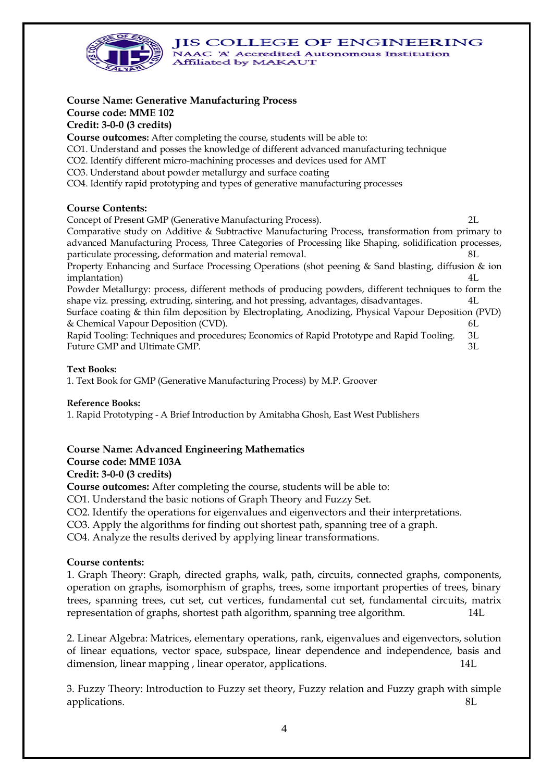

# **Course Name: Generative Manufacturing Process**

# **Course code: MME 102**

# **Credit: 3-0-0 (3 credits)**

**Course outcomes:** After completing the course, students will be able to:

- CO1. Understand and posses the knowledge of different advanced manufacturing technique
- CO2. Identify different micro-machining processes and devices used for AMT
- CO3. Understand about powder metallurgy and surface coating

CO4. Identify rapid prototyping and types of generative manufacturing processes

# **Course Contents:**

Concept of Present GMP (Generative Manufacturing Process). 2L Comparative study on Additive & Subtractive Manufacturing Process, transformation from primary to advanced Manufacturing Process, Three Categories of Processing like Shaping, solidification processes, particulate processing, deformation and material removal. 8L

Property Enhancing and Surface Processing Operations (shot peening & Sand blasting, diffusion & ion implantation) 4L

Powder Metallurgy: process, different methods of producing powders, different techniques to form the shape viz. pressing, extruding, sintering, and hot pressing, advantages, disadvantages. 4L Surface coating & thin film deposition by Electroplating, Anodizing, Physical Vapour Deposition (PVD) & Chemical Vapour Deposition (CVD). 6L

Rapid Tooling: Techniques and procedures; Economics of Rapid Prototype and Rapid Tooling. 3L Future GMP and Ultimate GMP.  $3L$ 

## **Text Books:**

1. Text Book for GMP (Generative Manufacturing Process) by M.P. Groover

## **Reference Books:**

1. Rapid Prototyping - A Brief Introduction by Amitabha Ghosh, East West Publishers

# **Course Name: Advanced Engineering Mathematics**

# **Course code: MME 103A**

## **Credit: 3-0-0 (3 credits)**

**Course outcomes:** After completing the course, students will be able to:

CO1. Understand the basic notions of Graph Theory and Fuzzy Set.

CO2. Identify the operations for eigenvalues and eigenvectors and their interpretations.

CO3. Apply the algorithms for finding out shortest path, spanning tree of a graph.

CO4. Analyze the results derived by applying linear transformations.

# **Course contents:**

1. Graph Theory: Graph, directed graphs, walk, path, circuits, connected graphs, components, operation on graphs, isomorphism of graphs, trees, some important properties of trees, binary trees, spanning trees, cut set, cut vertices, fundamental cut set, fundamental circuits, matrix representation of graphs, shortest path algorithm, spanning tree algorithm. 14L

2. Linear Algebra: Matrices, elementary operations, rank, eigenvalues and eigenvectors, solution of linear equations, vector space, subspace, linear dependence and independence, basis and dimension, linear mapping, linear operator, applications. 14L

3. Fuzzy Theory: Introduction to Fuzzy set theory, Fuzzy relation and Fuzzy graph with simple applications. 8L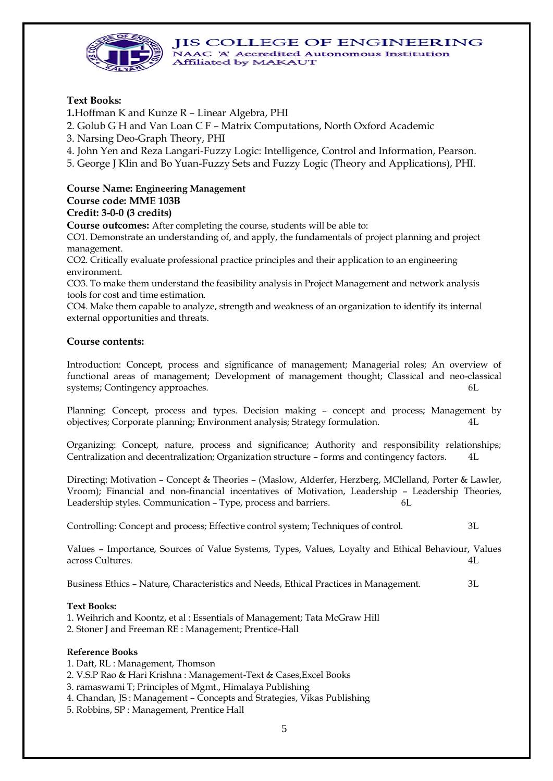



**Text Books:**

**1.**Hoffman K and Kunze R – Linear Algebra, PHI

2. Golub G H and Van Loan C F – Matrix Computations, North Oxford Academic

3. Narsing Deo-Graph Theory, PHI

4. John Yen and Reza Langari-Fuzzy Logic: Intelligence, Control and Information, Pearson.

5. George J Klin and Bo Yuan-Fuzzy Sets and Fuzzy Logic (Theory and Applications), PHI.

### **Course Name: Engineering Management Course code: MME 103B**

#### **Credit: 3-0-0 (3 credits)**

**Course outcomes:** After completing the course, students will be able to:

CO1. Demonstrate an understanding of, and apply, the fundamentals of project planning and project management.

CO2. Critically evaluate professional practice principles and their application to an engineering environment.

CO3. To make them understand the feasibility analysis in Project Management and network analysis tools for cost and time estimation.

CO4. Make them capable to analyze, strength and weakness of an organization to identify its internal external opportunities and threats.

## **Course contents:**

Introduction: Concept, process and significance of management; Managerial roles; An overview of functional areas of management; Development of management thought; Classical and neo-classical systems; Contingency approaches.

Planning: Concept, process and types. Decision making – concept and process; Management by objectives; Corporate planning; Environment analysis; Strategy formulation. 4L

Organizing: Concept, nature, process and significance; Authority and responsibility relationships; Centralization and decentralization; Organization structure – forms and contingency factors. 4L

Directing: Motivation – Concept & Theories – (Maslow, Alderfer, Herzberg, MClelland, Porter & Lawler, Vroom); Financial and non-financial incentatives of Motivation, Leadership – Leadership Theories, Leadership styles. Communication – Type, process and barriers. 6L

Controlling: Concept and process; Effective control system; Techniques of control. 3L

Values – Importance, Sources of Value Systems, Types, Values, Loyalty and Ethical Behaviour, Values across Cultures. 4L

Business Ethics – Nature, Characteristics and Needs, Ethical Practices in Management. 3L

## **Text Books:**

- 1. Weihrich and Koontz, et al : Essentials of Management; Tata McGraw Hill
- 2. Stoner J and Freeman RE : Management; Prentice-Hall

#### **Reference Books**

- 1. Daft, RL : Management, Thomson
- 2. V.S.P Rao & Hari Krishna : Management-Text & Cases,Excel Books
- 3. ramaswami T; Principles of Mgmt., Himalaya Publishing
- 4. Chandan, JS : Management Concepts and Strategies, Vikas Publishing
- 5. Robbins, SP : Management, Prentice Hall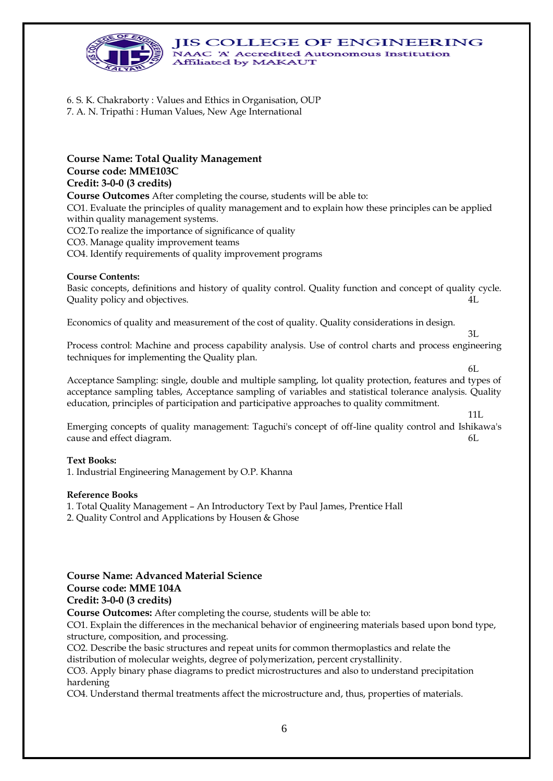

6. S. K. Chakraborty : Values and Ethics in Organisation, OUP 7. A. N. Tripathi : Human Values, New Age International

**Course Name: Total Quality Management Course code: MME103C Credit: 3-0-0 (3 credits) Course Outcomes** After completing the course, students will be able to:

CO1. Evaluate the principles of quality management and to explain how these principles can be applied within quality management systems.

CO2.To realize the importance of significance of quality

CO3. Manage quality improvement teams

CO4. Identify requirements of quality improvement programs

#### **Course Contents:**

Basic concepts, definitions and history of quality control. Quality function and concept of quality cycle. Quality policy and objectives. 4L

Economics of quality and measurement of the cost of quality. Quality considerations in design.

Process control: Machine and process capability analysis. Use of control charts and process engineering techniques for implementing the Quality plan.

3L

6L

11L

Acceptance Sampling: single, double and multiple sampling, lot quality protection, features and types of acceptance sampling tables, Acceptance sampling of variables and statistical tolerance analysis. Quality education, principles of participation and participative approaches to quality commitment.

Emerging concepts of quality management: Taguchi's concept of off-line quality control and Ishikawa's cause and effect diagram. 6L

#### **Text Books:**

1. Industrial Engineering Management by O.P. Khanna

#### **Reference Books**

1. Total Quality Management – An Introductory Text by Paul James, Prentice Hall

2. Quality Control and Applications by Housen & Ghose

# **Course Name: Advanced Material Science Course code: MME 104A Credit: 3-0-0 (3 credits)**

**Course Outcomes:** After completing the course, students will be able to:

CO1. Explain the differences in the mechanical behavior of engineering materials based upon bond type, structure, composition, and processing.

CO2. Describe the basic structures and repeat units for common thermoplastics and relate the distribution of molecular weights, degree of polymerization, percent crystallinity.

CO3. Apply binary phase diagrams to predict microstructures and also to understand precipitation hardening

CO4. Understand thermal treatments affect the microstructure and, thus, properties of materials.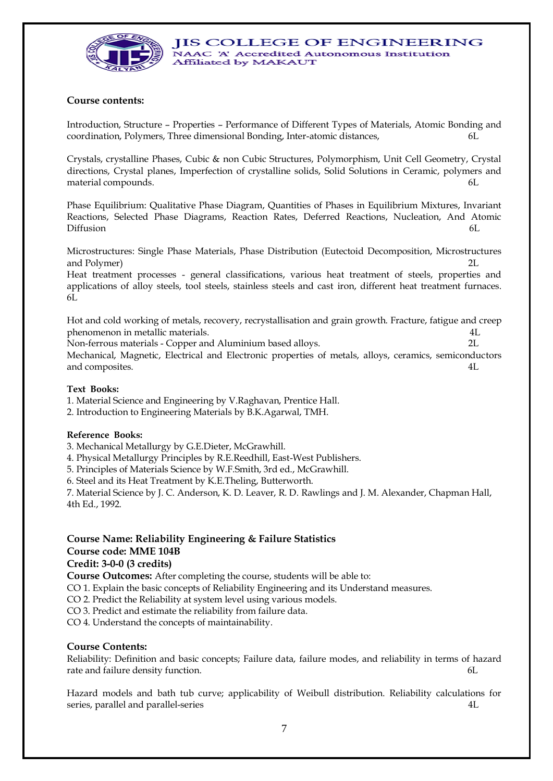

## **Course contents:**

Introduction, Structure – Properties – Performance of Different Types of Materials, Atomic Bonding and coordination, Polymers, Three dimensional Bonding, Inter-atomic distances, 6L

Crystals, crystalline Phases, Cubic & non Cubic Structures, Polymorphism, Unit Cell Geometry, Crystal directions, Crystal planes, Imperfection of crystalline solids, Solid Solutions in Ceramic, polymers and material compounds.

Phase Equilibrium: Qualitative Phase Diagram, Quantities of Phases in Equilibrium Mixtures, Invariant Reactions, Selected Phase Diagrams, Reaction Rates, Deferred Reactions, Nucleation, And Atomic Diffusion 6L

Microstructures: Single Phase Materials, Phase Distribution (Eutectoid Decomposition, Microstructures and Polymer)

Heat treatment processes - general classifications, various heat treatment of steels, properties and applications of alloy steels, tool steels, stainless steels and cast iron, different heat treatment furnaces. 6L

Hot and cold working of metals, recovery, recrystallisation and grain growth. Fracture, fatigue and creep phenomenon in metallic materials. 4L

Non-ferrous materials - Copper and Aluminium based alloys. 2L Mechanical, Magnetic, Electrical and Electronic properties of metals, alloys, ceramics, semiconductors and composites. 4L

#### **Text Books:**

1. Material Science and Engineering by V.Raghavan, Prentice Hall.

2. Introduction to Engineering Materials by B.K.Agarwal, TMH.

#### **Reference Books:**

3. Mechanical Metallurgy by G.E.Dieter, McGrawhill.

4. Physical Metallurgy Principles by R.E.Reedhill, East-West Publishers.

5. Principles of Materials Science by W.F.Smith, 3rd ed., McGrawhill.

6. Steel and its Heat Treatment by K.E.Theling, Butterworth.

7. Material Science by J. C. Anderson, K. D. Leaver, R. D. Rawlings and J. M. Alexander, Chapman Hall, 4th Ed., 1992.

# **Course Name: Reliability Engineering & Failure Statistics Course code: MME 104B**

#### **Credit: 3-0-0 (3 credits)**

**Course Outcomes:** After completing the course, students will be able to:

CO 1. Explain the basic concepts of Reliability Engineering and its Understand measures.

CO 2. Predict the Reliability at system level using various models.

CO 3. Predict and estimate the reliability from failure data.

CO 4. Understand the concepts of maintainability.

#### **Course Contents:**

Reliability: Definition and basic concepts; Failure data, failure modes, and reliability in terms of hazard rate and failure density function.  $6L$ 

Hazard models and bath tub curve; applicability of Weibull distribution. Reliability calculations for series, parallel and parallel-series 4L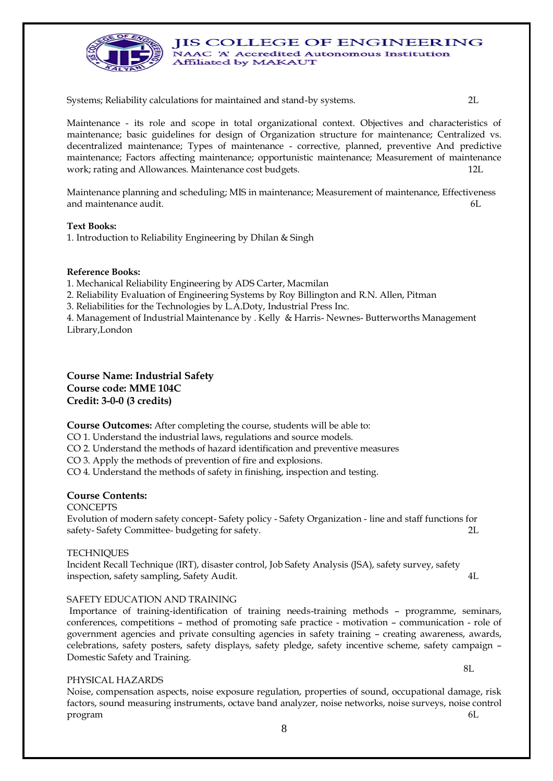

Systems; Reliability calculations for maintained and stand-by systems. 2L

Maintenance - its role and scope in total organizational context. Objectives and characteristics of maintenance; basic guidelines for design of Organization structure for maintenance; Centralized vs. decentralized maintenance; Types of maintenance - corrective, planned, preventive And predictive maintenance; Factors affecting maintenance; opportunistic maintenance; Measurement of maintenance work; rating and Allowances. Maintenance cost budgets. 12L

Maintenance planning and scheduling; MIS in maintenance; Measurement of maintenance, Effectiveness and maintenance audit. 6L

#### **Text Books:**

1. Introduction to Reliability Engineering by Dhilan & Singh

#### **Reference Books:**

1. Mechanical Reliability Engineering by ADS Carter, Macmilan

2. Reliability Evaluation of Engineering Systems by Roy Billington and R.N. Allen, Pitman

3. Reliabilities for the Technologies by L.A.Doty, Industrial Press Inc.

4. Management of Industrial Maintenance by . Kelly & Harris- Newnes- Butterworths Management Library,London

**Course Name: Industrial Safety Course code: MME 104C Credit: 3-0-0 (3 credits)**

**Course Outcomes:** After completing the course, students will be able to:

CO 1. Understand the industrial laws, regulations and source models.

CO 2. Understand the methods of hazard identification and preventive measures

CO 3. Apply the methods of prevention of fire and explosions.

CO 4. Understand the methods of safety in finishing, inspection and testing.

#### **Course Contents:**

**CONCEPTS** 

Evolution of modern safety concept- Safety policy - Safety Organization - line and staff functions for safety- Safety Committee- budgeting for safety. 2L

#### **TECHNIQUES**

Incident Recall Technique (IRT), disaster control, Job Safety Analysis (JSA), safety survey, safety inspection, safety sampling, Safety Audit. 4L

#### SAFETY EDUCATION AND TRAINING

Importance of training-identification of training needs-training methods – programme, seminars, conferences, competitions – method of promoting safe practice - motivation – communication - role of government agencies and private consulting agencies in safety training – creating awareness, awards, celebrations, safety posters, safety displays, safety pledge, safety incentive scheme, safety campaign – Domestic Safety and Training.

#### PHYSICAL HAZARDS

Noise, compensation aspects, noise exposure regulation, properties of sound, occupational damage, risk factors, sound measuring instruments, octave band analyzer, noise networks, noise surveys, noise control program 6L

8L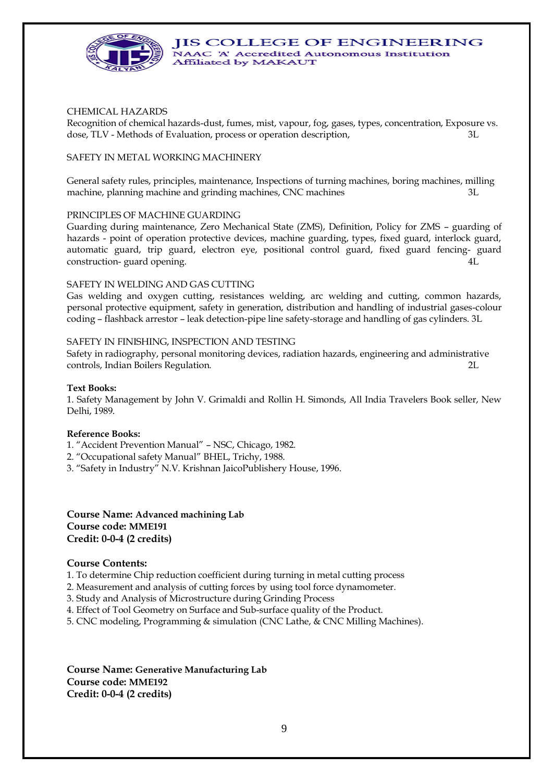

#### CHEMICAL HAZARDS

Recognition of chemical hazards-dust, fumes, mist, vapour, fog, gases, types, concentration, Exposure vs. dose, TLV - Methods of Evaluation, process or operation description, 3L

#### SAFETY IN METAL WORKING MACHINERY

General safety rules, principles, maintenance, Inspections of turning machines, boring machines, milling machine, planning machine and grinding machines, CNC machines 3L

#### PRINCIPLES OF MACHINE GUARDING

Guarding during maintenance, Zero Mechanical State (ZMS), Definition, Policy for ZMS – guarding of hazards - point of operation protective devices, machine guarding, types, fixed guard, interlock guard, automatic guard, trip guard, electron eye, positional control guard, fixed guard fencing- guard construction- guard opening.

#### SAFETY IN WELDING AND GAS CUTTING

Gas welding and oxygen cutting, resistances welding, arc welding and cutting, common hazards, personal protective equipment, safety in generation, distribution and handling of industrial gases-colour coding – flashback arrestor – leak detection-pipe line safety-storage and handling of gas cylinders. 3L

#### SAFETY IN FINISHING, INSPECTION AND TESTING

Safety in radiography, personal monitoring devices, radiation hazards, engineering and administrative controls, Indian Boilers Regulation. 2L

#### **Text Books:**

1. Safety Management by John V. Grimaldi and Rollin H. Simonds, All India Travelers Book seller, New Delhi, 1989.

#### **Reference Books:**

- 1. "Accident Prevention Manual" NSC, Chicago, 1982.
- 2. "Occupational safety Manual" BHEL, Trichy, 1988.
- 3. "Safety in Industry" N.V. Krishnan JaicoPublishery House, 1996.

### **Course Name: Advanced machining Lab Course code: MME191 Credit: 0-0-4 (2 credits)**

#### **Course Contents:**

1. To determine Chip reduction coefficient during turning in metal cutting process

- 2. Measurement and analysis of cutting forces by using tool force dynamometer.
- 3. Study and Analysis of Microstructure during Grinding Process
- 4. Effect of Tool Geometry on Surface and Sub-surface quality of the Product.
- 5. CNC modeling, Programming & simulation (CNC Lathe, & CNC Milling Machines).

**Course Name: Generative Manufacturing Lab Course code: MME192 Credit: 0-0-4 (2 credits)**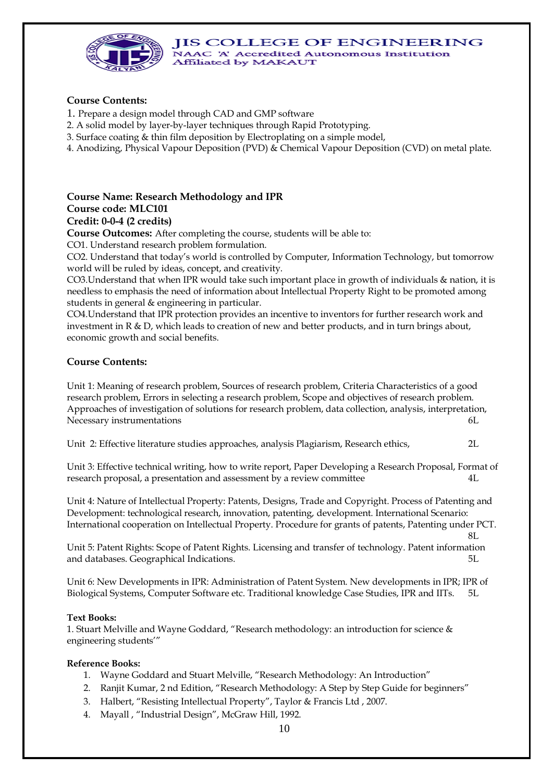#### **JIS COLLEGE OF ENGINEERING** NAAC 'A' Accredited Autonomous Institution



Affiliated by MAKAUT

## **Course Contents:**

- 1. Prepare a design model through CAD and GMP software
- 2. A solid model by layer-by-layer techniques through Rapid Prototyping.
- 3. Surface coating & thin film deposition by Electroplating on a simple model,
- 4. Anodizing, Physical Vapour Deposition (PVD) & Chemical Vapour Deposition (CVD) on metal plate.

### **Course Name: Research Methodology and IPR Course code: MLC101 Credit: 0-0-4 (2 credits)**

**Course Outcomes:** After completing the course, students will be able to:

CO1. Understand research problem formulation.

CO2. Understand that today's world is controlled by Computer, Information Technology, but tomorrow world will be ruled by ideas, concept, and creativity.

CO3.Understand that when IPR would take such important place in growth of individuals & nation, it is needless to emphasis the need of information about Intellectual Property Right to be promoted among students in general & engineering in particular.

CO4.Understand that IPR protection provides an incentive to inventors for further research work and investment in R & D, which leads to creation of new and better products, and in turn brings about, economic growth and social benefits.

# **Course Contents:**

Unit 1: Meaning of research problem, Sources of research problem, Criteria Characteristics of a good research problem, Errors in selecting a research problem, Scope and objectives of research problem. Approaches of investigation of solutions for research problem, data collection, analysis, interpretation, Necessary instrumentations 6L

Unit 2: Effective literature studies approaches, analysis Plagiarism, Research ethics, 2L

Unit 3: Effective technical writing, how to write report, Paper Developing a Research Proposal, Format of research proposal, a presentation and assessment by a review committee 4L

Unit 4: Nature of Intellectual Property: Patents, Designs, Trade and Copyright. Process of Patenting and Development: technological research, innovation, patenting, development. International Scenario: International cooperation on Intellectual Property. Procedure for grants of patents, Patenting under PCT.

8L

Unit 5: Patent Rights: Scope of Patent Rights. Licensing and transfer of technology. Patent information and databases. Geographical Indications. 5L

Unit 6: New Developments in IPR: Administration of Patent System. New developments in IPR; IPR of Biological Systems, Computer Software etc. Traditional knowledge Case Studies, IPR and IITs. 5L

## **Text Books:**

1. Stuart Melville and Wayne Goddard, "Research methodology: an introduction for science & engineering students'"

## **Reference Books:**

- 1. Wayne Goddard and Stuart Melville, "Research Methodology: An Introduction"
- 2. Ranjit Kumar, 2 nd Edition, "Research Methodology: A Step by Step Guide for beginners"
- 3. Halbert, "Resisting Intellectual Property", Taylor & Francis Ltd , 2007.
- 4. Mayall , "Industrial Design", McGraw Hill, 1992.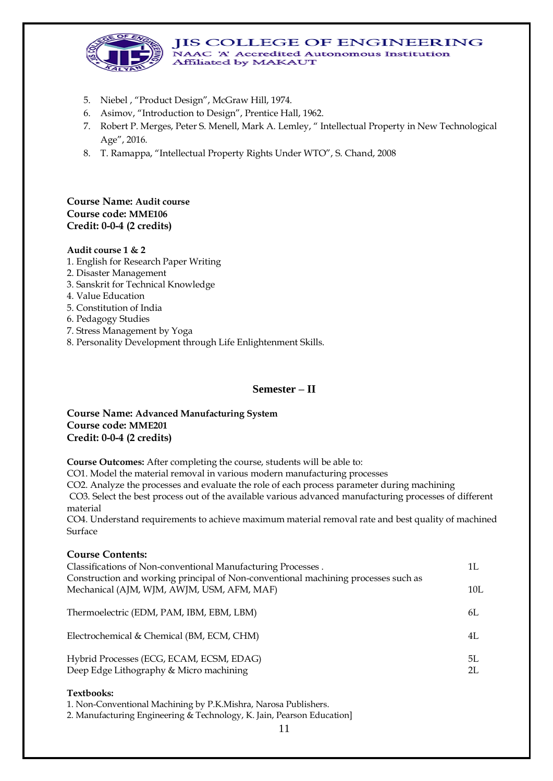

- 5. Niebel , "Product Design", McGraw Hill, 1974.
- 6. Asimov, "Introduction to Design", Prentice Hall, 1962.
- 7. Robert P. Merges, Peter S. Menell, Mark A. Lemley, " Intellectual Property in New Technological Age", 2016.
- 8. T. Ramappa, "Intellectual Property Rights Under WTO", S. Chand, 2008

## **Course Name: Audit course Course code: MME106 Credit: 0-0-4 (2 credits)**

#### **Audit course 1 & 2**

- 1. English for Research Paper Writing
- 2. Disaster Management
- 3. Sanskrit for Technical Knowledge
- 4. Value Education
- 5. Constitution of India
- 6. Pedagogy Studies
- 7. Stress Management by Yoga
- 8. Personality Development through Life Enlightenment Skills.

#### **Semester – II**

#### **Course Name: Advanced Manufacturing System Course code: MME201 Credit: 0-0-4 (2 credits)**

**Course Outcomes:** After completing the course, students will be able to:

CO1. Model the material removal in various modern manufacturing processes

CO2. Analyze the processes and evaluate the role of each process parameter during machining

CO3. Select the best process out of the available various advanced manufacturing processes of different material

CO4. Understand requirements to achieve maximum material removal rate and best quality of machined Surface

#### **Course Contents:**

| Classifications of Non-conventional Manufacturing Processes.                       | 1L  |
|------------------------------------------------------------------------------------|-----|
| Construction and working principal of Non-conventional machining processes such as |     |
| Mechanical (AJM, WJM, AWJM, USM, AFM, MAF)                                         | 10L |
| Thermoelectric (EDM, PAM, IBM, EBM, LBM)                                           | 6L  |
| Electrochemical & Chemical (BM, ECM, CHM)                                          | 4L  |
| Hybrid Processes (ECG, ECAM, ECSM, EDAG)                                           | 5I. |
| Deep Edge Lithography & Micro machining                                            | 2L  |

#### **Textbooks:**

1. Non-Conventional Machining by P.K.Mishra, Narosa Publishers.

2. Manufacturing Engineering & Technology, K. Jain, Pearson Education]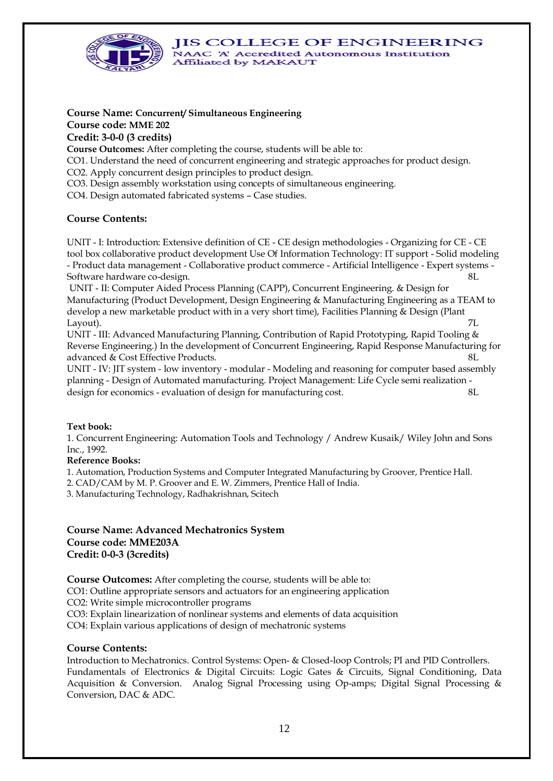**JIS COLLEGE OF ENGINEERING** NAAC 'A' Accredited Autonomous Institution



Affiliated by MAKAUT

### **Course Name: Concurrent/ Simultaneous Engineering Course code: MME 202 Credit: 3-0-0 (3 credits)**

**Course Outcomes:** After completing the course, students will be able to:

CO1. Understand the need of concurrent engineering and strategic approaches for product design.

CO2. Apply concurrent design principles to product design.

CO3. Design assembly workstation using concepts of simultaneous engineering.

CO4. Design automated fabricated systems – Case studies.

## **Course Contents:**

UNIT - I: Introduction: Extensive definition of CE - CE design methodologies - Organizing for CE - CE tool box collaborative product development Use Of Information Technology: IT support - Solid modeling - Product data management - Collaborative product commerce - Artificial Intelligence - Expert systems - Software hardware co-design. 8L

UNIT - II: Computer Aided Process Planning (CAPP), Concurrent Engineering. & Design for Manufacturing (Product Development, Design Engineering & Manufacturing Engineering as a TEAM to develop a new marketable product with in a very short time), Facilities Planning & Design (Plant Layout). 7L

UNIT - III: Advanced Manufacturing Planning, Contribution of Rapid Prototyping, Rapid Tooling & Reverse Engineering.) In the development of Concurrent Engineering, Rapid Response Manufacturing for advanced & Cost Effective Products. 8L

UNIT - IV: JIT system - low inventory - modular - Modeling and reasoning for computer based assembly planning - Design of Automated manufacturing. Project Management: Life Cycle semi realization design for economics - evaluation of design for manufacturing cost. 8L

## **Text book:**

1. Concurrent Engineering: Automation Tools and Technology / Andrew Kusaik/ Wiley John and Sons Inc., 1992.

#### **Reference Books:**

1. Automation, Production Systems and Computer Integrated Manufacturing by Groover, Prentice Hall.

2. CAD/CAM by M. P. Groover and E. W. Zimmers, Prentice Hall of India.

3. Manufacturing Technology, Radhakrishnan, Scitech

## **Course Name: Advanced Mechatronics System Course code: MME203A Credit: 0-0-3 (3credits)**

**Course Outcomes:** After completing the course, students will be able to:

CO1: Outline appropriate sensors and actuators for an engineering application

CO2: Write simple microcontroller programs

CO3: Explain linearization of nonlinear systems and elements of data acquisition

CO4: Explain various applications of design of mechatronic systems

## **Course Contents:**

Introduction to Mechatronics. Control Systems: Open- & Closed-loop Controls; PI and PID Controllers. Fundamentals of Electronics & Digital Circuits: Logic Gates & Circuits, Signal Conditioning, Data Acquisition & Conversion. Analog Signal Processing using Op-amps; Digital Signal Processing & Conversion, DAC & ADC.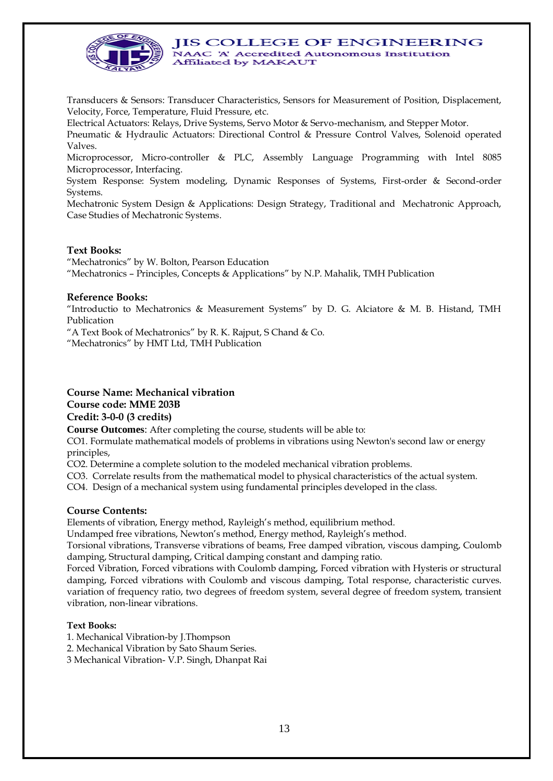

Transducers & Sensors: Transducer Characteristics, Sensors for Measurement of Position, Displacement, Velocity, Force, Temperature, Fluid Pressure, etc.

Electrical Actuators: Relays, Drive Systems, Servo Motor & Servo-mechanism, and Stepper Motor.

Pneumatic & Hydraulic Actuators: Directional Control & Pressure Control Valves, Solenoid operated Valves.

Microprocessor, Micro-controller & PLC, Assembly Language Programming with Intel 8085 Microprocessor, Interfacing.

System Response: System modeling, Dynamic Responses of Systems, First-order & Second-order Systems.

Mechatronic System Design & Applications: Design Strategy, Traditional and Mechatronic Approach, Case Studies of Mechatronic Systems.

#### **Text Books:**

"Mechatronics" by W. Bolton, Pearson Education

"Mechatronics – Principles, Concepts & Applications" by N.P. Mahalik, TMH Publication

#### **Reference Books:**

"Introductio to Mechatronics & Measurement Systems" by D. G. Alciatore & M. B. Histand, TMH Publication

"A Text Book of Mechatronics" by R. K. Rajput, S Chand & Co.

"Mechatronics" by HMT Ltd, TMH Publication

## **Course Name: Mechanical vibration Course code: MME 203B Credit: 3-0-0 (3 credits)**

**Course Outcomes**: After completing the course, students will be able to:

CO1. Formulate mathematical models of problems in vibrations using Newton's second law or energy principles,

CO2. Determine a complete solution to the modeled mechanical vibration problems.

CO3. Correlate results from the mathematical model to physical characteristics of the actual system.

CO4. Design of a mechanical system using fundamental principles developed in the class.

## **Course Contents:**

Elements of vibration, Energy method, Rayleigh's method, equilibrium method.

Undamped free vibrations, Newton's method, Energy method, Rayleigh's method.

Torsional vibrations, Transverse vibrations of beams, Free damped vibration, viscous damping, Coulomb damping, Structural damping, Critical damping constant and damping ratio.

Forced Vibration, Forced vibrations with Coulomb damping, Forced vibration with Hysteris or structural damping, Forced vibrations with Coulomb and viscous damping, Total response, characteristic curves. variation of frequency ratio, two degrees of freedom system, several degree of freedom system, transient vibration, non-linear vibrations.

#### **Text Books:**

- 1. Mechanical Vibration-by J.Thompson
- 2. Mechanical Vibration by Sato Shaum Series.
- 3 Mechanical Vibration- V.P. Singh, Dhanpat Rai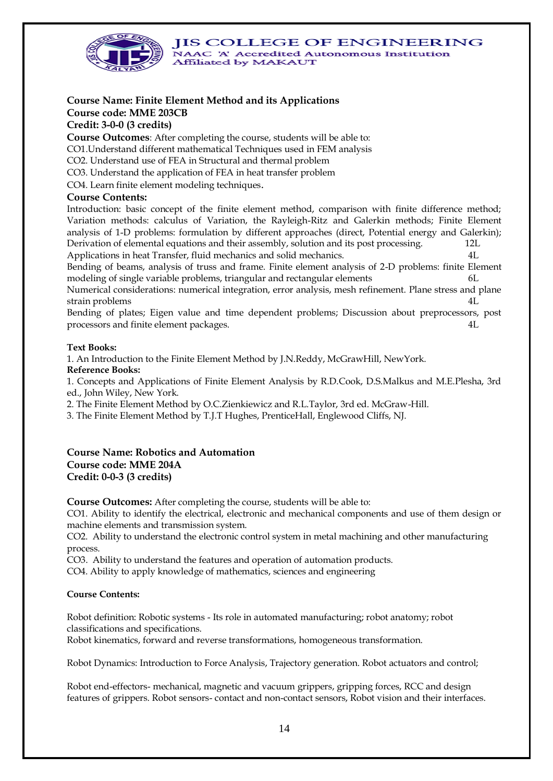

# **Course Name: Finite Element Method and its Applications**

# **Course code: MME 203CB**

# **Credit: 3-0-0 (3 credits)**

**Course Outcomes**: After completing the course, students will be able to:

CO1.Understand different mathematical Techniques used in FEM analysis

CO2. Understand use of FEA in Structural and thermal problem

CO3. Understand the application of FEA in heat transfer problem

CO4. Learn finite element modeling techniques.

## **Course Contents:**

Introduction: basic concept of the finite element method, comparison with finite difference method; Variation methods: calculus of Variation, the Rayleigh-Ritz and Galerkin methods; Finite Element analysis of 1-D problems: formulation by different approaches (direct, Potential energy and Galerkin); Derivation of elemental equations and their assembly, solution and its post processing. 12L Applications in heat Transfer, fluid mechanics and solid mechanics. 4L

Bending of beams, analysis of truss and frame. Finite element analysis of 2-D problems: finite Element modeling of single variable problems, triangular and rectangular elements

Numerical considerations: numerical integration, error analysis, mesh refinement. Plane stress and plane strain problems  $4L$ 

Bending of plates; Eigen value and time dependent problems; Discussion about preprocessors, post processors and finite element packages. 4L

## **Text Books:**

1. An Introduction to the Finite Element Method by J.N.Reddy, McGrawHill, NewYork. **Reference Books:**

1. Concepts and Applications of Finite Element Analysis by R.D.Cook, D.S.Malkus and M.E.Plesha, 3rd ed., John Wiley, New York.

2. The Finite Element Method by O.C.Zienkiewicz and R.L.Taylor, 3rd ed. McGraw-Hill.

3. The Finite Element Method by T.J.T Hughes, PrenticeHall, Englewood Cliffs, NJ.

### **Course Name: Robotics and Automation Course code: MME 204A Credit: 0-0-3 (3 credits)**

**Course Outcomes:** After completing the course, students will be able to:

CO1. Ability to identify the electrical, electronic and mechanical components and use of them design or machine elements and transmission system.

CO2. Ability to understand the electronic control system in metal machining and other manufacturing process.

CO3. Ability to understand the features and operation of automation products.

CO4. Ability to apply knowledge of mathematics, sciences and engineering

## **Course Contents:**

Robot definition: Robotic systems - Its role in automated manufacturing; robot anatomy; robot classifications and specifications.

Robot kinematics, forward and reverse transformations, homogeneous transformation.

Robot Dynamics: Introduction to Force Analysis, Trajectory generation. Robot actuators and control;

Robot end-effectors- mechanical, magnetic and vacuum grippers, gripping forces, RCC and design features of grippers. Robot sensors- contact and non-contact sensors, Robot vision and their interfaces.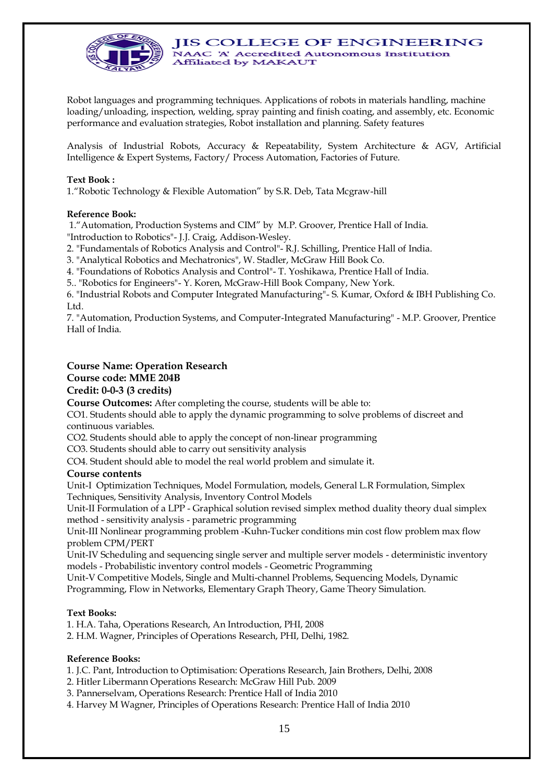

Robot languages and programming techniques. Applications of robots in materials handling, machine loading/unloading, inspection, welding, spray painting and finish coating, and assembly, etc. Economic performance and evaluation strategies, Robot installation and planning. Safety features

Analysis of Industrial Robots, Accuracy & Repeatability, System Architecture & AGV, Artificial Intelligence & Expert Systems, Factory/ Process Automation, Factories of Future.

#### **Text Book :**

1."Robotic Technology & Flexible Automation" by S.R. Deb, Tata Mcgraw-hill

#### **Reference Book:**

1."Automation, Production Systems and CIM" by M.P. Groover, Prentice Hall of India. "Introduction to Robotics"- J.J. Craig, Addison-Wesley.

2. "Fundamentals of Robotics Analysis and Control"- R.J. Schilling, Prentice Hall of India.

3. "Analytical Robotics and Mechatronics", W. Stadler, McGraw Hill Book Co.

4. "Foundations of Robotics Analysis and Control"- T. Yoshikawa, Prentice Hall of India.

5.. "Robotics for Engineers"- Y. Koren, McGraw-Hill Book Company, New York.

6. "Industrial Robots and Computer Integrated Manufacturing"- S. Kumar, Oxford & IBH Publishing Co. Ltd.

7. "Automation, Production Systems, and Computer-Integrated Manufacturing" - M.P. Groover, Prentice Hall of India.

#### **Course Name: Operation Research**

#### **Course code: MME 204B**

#### **Credit: 0-0-3 (3 credits)**

**Course Outcomes:** After completing the course, students will be able to:

CO1. Students should able to apply the dynamic programming to solve problems of discreet and continuous variables.

CO2. Students should able to apply the concept of non-linear programming

CO3. Students should able to carry out sensitivity analysis

CO4. Student should able to model the real world problem and simulate it.

#### **Course contents**

Unit-I Optimization Techniques, Model Formulation, models, General L.R Formulation, Simplex Techniques, Sensitivity Analysis, Inventory Control Models

Unit-II Formulation of a LPP - Graphical solution revised simplex method duality theory dual simplex method - sensitivity analysis - parametric programming

Unit-III Nonlinear programming problem -Kuhn-Tucker conditions min cost flow problem max flow problem CPM/PERT

Unit-IV Scheduling and sequencing single server and multiple server models - deterministic inventory models - Probabilistic inventory control models - Geometric Programming

Unit-V Competitive Models, Single and Multi-channel Problems, Sequencing Models, Dynamic Programming, Flow in Networks, Elementary Graph Theory, Game Theory Simulation.

#### **Text Books:**

1. H.A. Taha, Operations Research, An Introduction, PHI, 2008

2. H.M. Wagner, Principles of Operations Research, PHI, Delhi, 1982.

#### **Reference Books:**

1. J.C. Pant, Introduction to Optimisation: Operations Research, Jain Brothers, Delhi, 2008

2. Hitler Libermann Operations Research: McGraw Hill Pub. 2009

3. Pannerselvam, Operations Research: Prentice Hall of India 2010

4. Harvey M Wagner, Principles of Operations Research: Prentice Hall of India 2010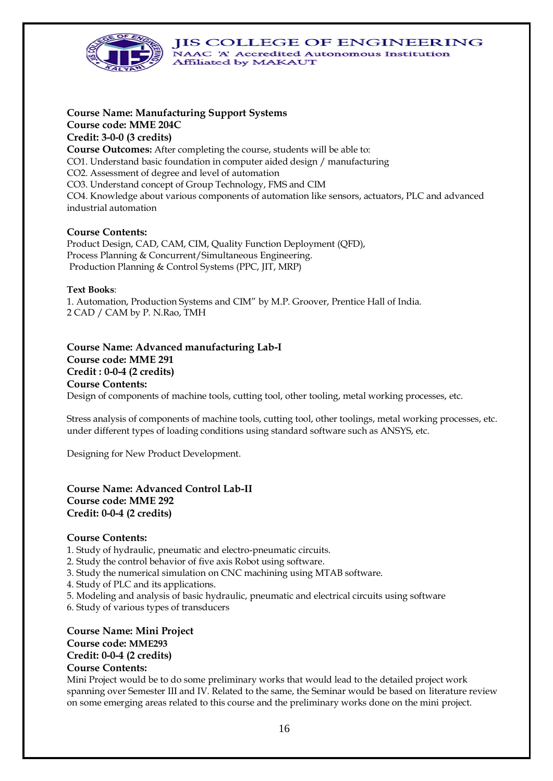**JIS COLLEGE OF ENGINEERING** 



NAAC 'A' Accredited Autonomous Institution Affiliated by MAKAUT

# **Course Name: Manufacturing Support Systems Course code: MME 204C Credit: 3-0-0 (3 credits)**

**Course Outcomes:** After completing the course, students will be able to: CO1. Understand basic foundation in computer aided design / manufacturing CO2. Assessment of degree and level of automation CO3. Understand concept of Group Technology, FMS and CIM CO4. Knowledge about various components of automation like sensors, actuators, PLC and advanced industrial automation

# **Course Contents:**

Product Design, CAD, CAM, CIM, Quality Function Deployment (QFD), Process Planning & Concurrent/Simultaneous Engineering. Production Planning & Control Systems (PPC, JIT, MRP)

#### **Text Books**:

1. Automation, Production Systems and CIM" by M.P. Groover, Prentice Hall of India. 2 CAD / CAM by P. N.Rao, TMH

## **Course Name: Advanced manufacturing Lab-I Course code: MME 291 Credit : 0-0-4 (2 credits) Course Contents:**  Design of components of machine tools, cutting tool, other tooling, metal working processes, etc.

Stress analysis of components of machine tools, cutting tool, other toolings, metal working processes, etc. under different types of loading conditions using standard software such as ANSYS, etc.

Designing for New Product Development.

### **Course Name: Advanced Control Lab-II Course code: MME 292 Credit: 0-0-4 (2 credits)**

## **Course Contents:**

1. Study of hydraulic, pneumatic and electro-pneumatic circuits.

2. Study the control behavior of five axis Robot using software.

- 3. Study the numerical simulation on CNC machining using MTAB software.
- 4. Study of PLC and its applications.
- 5. Modeling and analysis of basic hydraulic, pneumatic and electrical circuits using software
- 6. Study of various types of transducers

#### **Course Name: Mini Project Course code: MME293 Credit: 0-0-4 (2 credits) Course Contents:**

Mini Project would be to do some preliminary works that would lead to the detailed project work spanning over Semester III and IV. Related to the same, the Seminar would be based on literature review on some emerging areas related to this course and the preliminary works done on the mini project.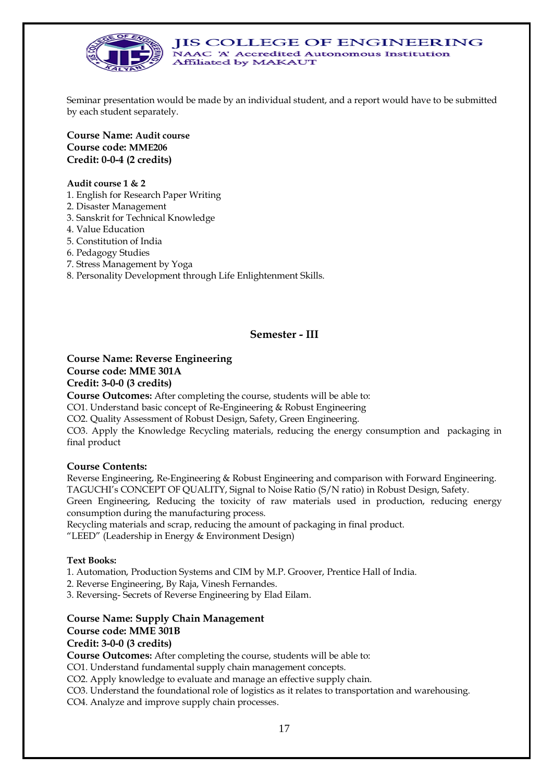

Seminar presentation would be made by an individual student, and a report would have to be submitted by each student separately.

**Course Name: Audit course Course code: MME206 Credit: 0-0-4 (2 credits)**

#### **Audit course 1 & 2**

1. English for Research Paper Writing

- 2. Disaster Management
- 3. Sanskrit for Technical Knowledge
- 4. Value Education
- 5. Constitution of India
- 6. Pedagogy Studies
- 7. Stress Management by Yoga
- 8. Personality Development through Life Enlightenment Skills.

#### **Semester - III**

# **Course Name: Reverse Engineering Course code: MME 301A Credit: 3-0-0 (3 credits)**

**Course Outcomes:** After completing the course, students will be able to:

CO1. Understand basic concept of Re-Engineering & Robust Engineering

CO2. Quality Assessment of Robust Design, Safety, Green Engineering.

CO3. Apply the Knowledge Recycling materials, reducing the energy consumption and packaging in final product

#### **Course Contents:**

Reverse Engineering, Re-Engineering & Robust Engineering and comparison with Forward Engineering. TAGUCHI's CONCEPT OF QUALITY, Signal to Noise Ratio (S/N ratio) in Robust Design, Safety. Green Engineering, Reducing the toxicity of raw materials used in production, reducing energy consumption during the manufacturing process.

Recycling materials and scrap, reducing the amount of packaging in final product.

"LEED" (Leadership in Energy & Environment Design)

#### **Text Books:**

1. Automation, Production Systems and CIM by M.P. Groover, Prentice Hall of India.

2. Reverse Engineering, By Raja, Vinesh Fernandes.

3. Reversing- Secrets of Reverse Engineering by Elad Eilam.

# **Course Name: Supply Chain Management**

# **Course code: MME 301B**

# **Credit: 3-0-0 (3 credits)**

**Course Outcomes:** After completing the course, students will be able to:

CO1. Understand fundamental supply chain management concepts.

CO2. Apply knowledge to evaluate and manage an effective supply chain.

CO3. Understand the foundational role of logistics as it relates to transportation and warehousing.

CO4. Analyze and improve supply chain processes.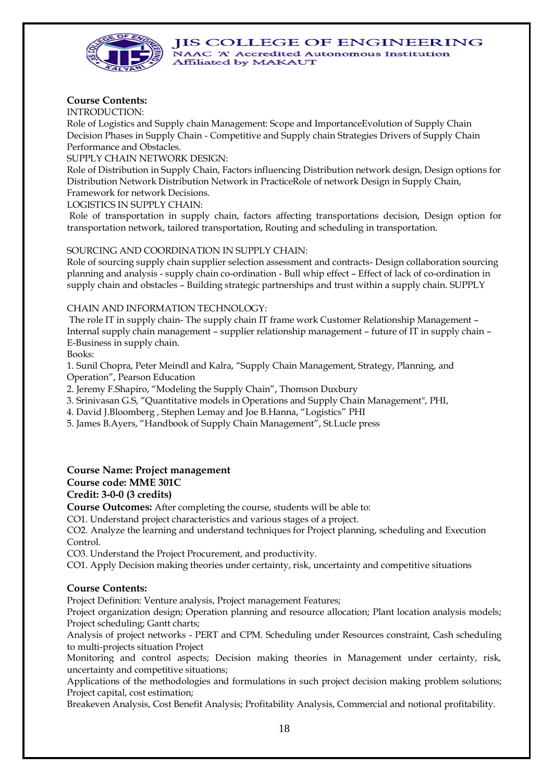

# **Course Contents:**

INTRODUCTION:

Role of Logistics and Supply chain Management: Scope and ImportanceEvolution of Supply Chain Decision Phases in Supply Chain - Competitive and Supply chain Strategies Drivers of Supply Chain Performance and Obstacles.

SUPPLY CHAIN NETWORK DESIGN:

Role of Distribution in Supply Chain, Factors influencing Distribution network design, Design options for Distribution Network Distribution Network in PracticeRole of network Design in Supply Chain,

Framework for network Decisions.

LOGISTICS IN SUPPLY CHAIN:

Role of transportation in supply chain, factors affecting transportations decision, Design option for transportation network, tailored transportation, Routing and scheduling in transportation.

## SOURCING AND COORDINATION IN SUPPLY CHAIN:

Role of sourcing supply chain supplier selection assessment and contracts- Design collaboration sourcing planning and analysis - supply chain co-ordination - Bull whip effect – Effect of lack of co-ordination in supply chain and obstacles – Building strategic partnerships and trust within a supply chain. SUPPLY

#### CHAIN AND INFORMATION TECHNOLOGY:

The role IT in supply chain- The supply chain IT frame work Customer Relationship Management – Internal supply chain management – supplier relationship management – future of IT in supply chain – E-Business in supply chain.

Books:

1. Sunil Chopra, Peter Meindl and Kalra, "Supply Chain Management, Strategy, Planning, and Operation", Pearson Education

2. Jeremy F.Shapiro, "Modeling the Supply Chain", Thomson Duxbury

3. Srinivasan G.S, "Quantitative models in Operations and Supply Chain Management", PHI,

4. David J.Bloomberg , Stephen Lemay and Joe B.Hanna, "Logistics" PHI

5. James B.Ayers, "Handbook of Supply Chain Management", St.Lucle press

# **Course Name: Project management**

## **Course code: MME 301C**

**Credit: 3-0-0 (3 credits)**

**Course Outcomes:** After completing the course, students will be able to:

CO1. Understand project characteristics and various stages of a project.

CO2. Analyze the learning and understand techniques for Project planning, scheduling and Execution Control.

CO3. Understand the Project Procurement, and productivity.

CO1. Apply Decision making theories under certainty, risk, uncertainty and competitive situations

## **Course Contents:**

Project Definition: Venture analysis, Project management Features;

Project organization design; Operation planning and resource allocation; Plant location analysis models; Project scheduling; Gantt charts;

Analysis of project networks - PERT and CPM. Scheduling under Resources constraint, Cash scheduling to multi-projects situation Project

Monitoring and control aspects; Decision making theories in Management under certainty, risk, uncertainty and competitive situations;

Applications of the methodologies and formulations in such project decision making problem solutions; Project capital, cost estimation;

Breakeven Analysis, Cost Benefit Analysis; Profitability Analysis, Commercial and notional profitability.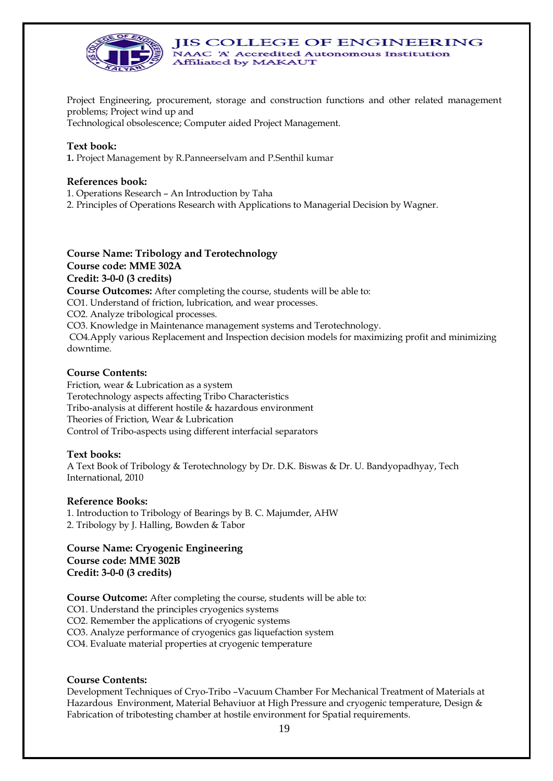

Project Engineering, procurement, storage and construction functions and other related management problems; Project wind up and

**JIS COLLEGE OF ENGINEERING** 

NAAC 'A' Accredited Autonomous Institution

Technological obsolescence; Computer aided Project Management.

#### **Text book:**

**1.** Project Management by R.Panneerselvam and P.Senthil kumar

#### **References book:**

- 1. Operations Research An Introduction by Taha
- 2. Principles of Operations Research with Applications to Managerial Decision by Wagner.

Affiliated by MAKAUT

**Course Name: Tribology and Terotechnology Course code: MME 302A Credit: 3-0-0 (3 credits) Course Outcomes:** After completing the course, students will be able to: CO1. Understand of friction, lubrication, and wear processes. CO2. Analyze tribological processes. CO3. Knowledge in Maintenance management systems and Terotechnology. CO4.Apply various Replacement and Inspection decision models for maximizing profit and minimizing downtime.

#### **Course Contents:**

Friction, wear & Lubrication as a system Terotechnology aspects affecting Tribo Characteristics Tribo-analysis at different hostile & hazardous environment Theories of Friction, Wear & Lubrication Control of Tribo-aspects using different interfacial separators

#### **Text books:**

A Text Book of Tribology & Terotechnology by Dr. D.K. Biswas & Dr. U. Bandyopadhyay, Tech International, 2010

#### **Reference Books:**

1. Introduction to Tribology of Bearings by B. C. Majumder, AHW 2. Tribology by J. Halling, Bowden & Tabor

**Course Name: Cryogenic Engineering Course code: MME 302B Credit: 3-0-0 (3 credits)**

**Course Outcome:** After completing the course, students will be able to:

CO1. Understand the principles cryogenics systems

CO2. Remember the applications of cryogenic systems

CO3. Analyze performance of cryogenics gas liquefaction system

CO4. Evaluate material properties at cryogenic temperature

#### **Course Contents:**

Development Techniques of Cryo-Tribo –Vacuum Chamber For Mechanical Treatment of Materials at Hazardous Environment, Material Behaviuor at High Pressure and cryogenic temperature, Design & Fabrication of tribotesting chamber at hostile environment for Spatial requirements.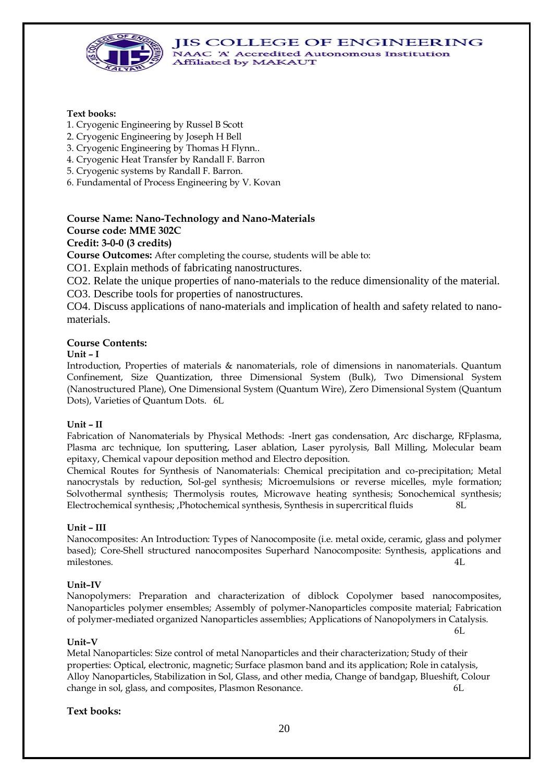

#### **Text books:**

- 1. Cryogenic Engineering by Russel B Scott
- 2. Cryogenic Engineering by Joseph H Bell
- 3. Cryogenic Engineering by Thomas H Flynn..
- 4. Cryogenic Heat Transfer by Randall F. Barron
- 5. Cryogenic systems by Randall F. Barron.
- 6. Fundamental of Process Engineering by V. Kovan

# **Course Name: Nano-Technology and Nano-Materials Course code: MME 302C**

## **Credit: 3-0-0 (3 credits)**

**Course Outcomes:** After completing the course, students will be able to:

CO1. Explain methods of fabricating nanostructures.

CO2. Relate the unique properties of nano-materials to the reduce dimensionality of the material.

CO3. Describe tools for properties of nanostructures.

CO4. Discuss applications of nano-materials and implication of health and safety related to nanomaterials.

#### **Course Contents:**

#### **Unit – I**

Introduction, Properties of materials & nanomaterials, role of dimensions in nanomaterials. Quantum Confinement, Size Quantization, three Dimensional System (Bulk), Two Dimensional System (Nanostructured Plane), One Dimensional System (Quantum Wire), Zero Dimensional System (Quantum Dots), Varieties of Quantum Dots. 6L

#### **Unit – II**

Fabrication of Nanomaterials by Physical Methods: -Inert gas condensation, Arc discharge, RFplasma, Plasma arc technique, Ion sputtering, Laser ablation, Laser pyrolysis, Ball Milling, Molecular beam epitaxy, Chemical vapour deposition method and Electro deposition.

Chemical Routes for Synthesis of Nanomaterials: Chemical precipitation and co-precipitation; Metal nanocrystals by reduction, Sol-gel synthesis; Microemulsions or reverse micelles, myle formation; Solvothermal synthesis; Thermolysis routes, Microwave heating synthesis; Sonochemical synthesis; Electrochemical synthesis; ,Photochemical synthesis, Synthesis in supercritical fluids 8L

#### **Unit – III**

Nanocomposites: An Introduction: Types of Nanocomposite (i.e. metal oxide, ceramic, glass and polymer based); Core-Shell structured nanocomposites Superhard Nanocomposite: Synthesis, applications and milestones. 4L

#### **Unit–IV**

Nanopolymers: Preparation and characterization of diblock Copolymer based nanocomposites, Nanoparticles polymer ensembles; Assembly of polymer-Nanoparticles composite material; Fabrication of polymer-mediated organized Nanoparticles assemblies; Applications of Nanopolymers in Catalysis.

6L

#### **Unit–V**

Metal Nanoparticles: Size control of metal Nanoparticles and their characterization; Study of their properties: Optical, electronic, magnetic; Surface plasmon band and its application; Role in catalysis, Alloy Nanoparticles, Stabilization in Sol, Glass, and other media, Change of bandgap, Blueshift, Colour change in sol, glass, and composites, Plasmon Resonance. 6L

#### **Text books:**